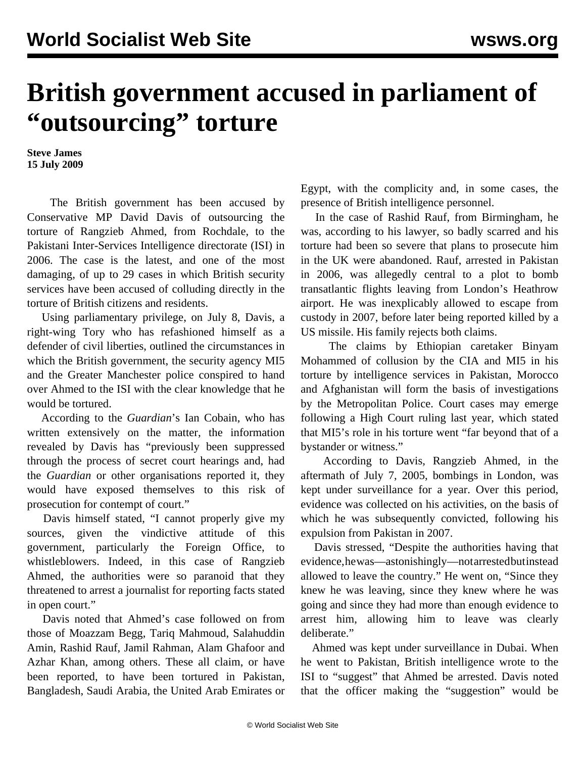## **British government accused in parliament of "outsourcing" torture**

**Steve James 15 July 2009**

 The British government has been accused by Conservative MP David Davis of outsourcing the torture of Rangzieb Ahmed, from Rochdale, to the Pakistani Inter-Services Intelligence directorate (ISI) in 2006. The case is the latest, and one of the most damaging, of up to 29 cases in which British security services have been accused of colluding directly in the torture of British citizens and residents.

 Using parliamentary privilege, on July 8, Davis, a right-wing Tory who has refashioned himself as a defender of civil liberties, outlined the circumstances in which the British government, the security agency MI5 and the Greater Manchester police conspired to hand over Ahmed to the ISI with the clear knowledge that he would be tortured.

 According to the *Guardian*'s Ian Cobain, who has written extensively on the matter, the information revealed by Davis has "previously been suppressed through the process of secret court hearings and, had the *Guardian* or other organisations reported it, they would have exposed themselves to this risk of prosecution for contempt of court."

 Davis himself stated, "I cannot properly give my sources, given the vindictive attitude of this government, particularly the Foreign Office, to whistleblowers. Indeed, in this case of Rangzieb Ahmed, the authorities were so paranoid that they threatened to arrest a journalist for reporting facts stated in open court."

 Davis noted that Ahmed's case followed on from those of Moazzam Begg, Tariq Mahmoud, Salahuddin Amin, Rashid Rauf, Jamil Rahman, Alam Ghafoor and Azhar Khan, among others. These all claim, or have been reported, to have been tortured in Pakistan, Bangladesh, Saudi Arabia, the United Arab Emirates or

Egypt, with the complicity and, in some cases, the presence of British intelligence personnel.

 In the case of Rashid Rauf, from Birmingham, he was, according to his lawyer, so badly scarred and his torture had been so severe that plans to prosecute him in the UK were abandoned. Rauf, arrested in Pakistan in 2006, was allegedly central to a plot to bomb transatlantic flights leaving from London's Heathrow airport. He was inexplicably allowed to escape from custody in 2007, before later being reported killed by a US missile. His family rejects both claims.

 The claims by Ethiopian caretaker Binyam Mohammed of collusion by the CIA and MI5 in his torture by intelligence services in Pakistan, Morocco and Afghanistan will form the basis of investigations by the Metropolitan Police. Court cases may emerge following a High Court ruling last year, which stated that MI5's role in his torture went "far beyond that of a bystander or witness."

 According to Davis, Rangzieb Ahmed, in the aftermath of July 7, 2005, bombings in London, was kept under surveillance for a year. Over this period, evidence was collected on his activities, on the basis of which he was subsequently convicted, following his expulsion from Pakistan in 2007.

 Davis stressed, "Despite the authorities having that evidence, he was—astonishingly—not arrested but instead allowed to leave the country." He went on, "Since they knew he was leaving, since they knew where he was going and since they had more than enough evidence to arrest him, allowing him to leave was clearly deliberate."

 Ahmed was kept under surveillance in Dubai. When he went to Pakistan, British intelligence wrote to the ISI to "suggest" that Ahmed be arrested. Davis noted that the officer making the "suggestion" would be